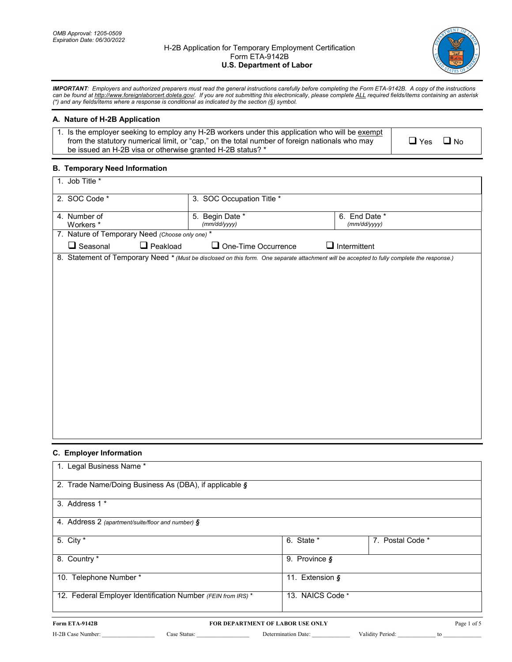#### H-2B Application for Temporary Employment Certification Form ETA-9142B **U.S. Department of Labor**



 *IMPORTANT: Employers and authorized preparers must read the general instructions carefully before completing the Form ETA-9142B. A copy of the instructions can be found a[t http://www.foreignlaborcert.doleta.gov/.](http://www.foreignlaborcert.doleta.gov/) If you are not submitting this electronically, please complete ALL required fields/items containing an asterisk (\*) and any fields/items where a response is conditional as indicated by the section (§) symbol.* 

# **A. Nature of H-2B Application**

| 1. Is the employer seeking to employ any H-2B workers under this application who will be exempt |
|-------------------------------------------------------------------------------------------------|
| from the statutory numerical limit, or "cap," on the total number of foreign nationals who may  |
| be issued an H-2B visa or otherwise granted H-2B status? *                                      |

 $\Box$  Yes  $\Box$  No

### **B. Temporary Need Information**

| 1. Job Title *                                  |                                                                                                                                             |                               |
|-------------------------------------------------|---------------------------------------------------------------------------------------------------------------------------------------------|-------------------------------|
| 2. SOC Code *                                   | 3. SOC Occupation Title *                                                                                                                   |                               |
| 4. Number of<br>Workers *                       | 5. Begin Date *<br>(mm/dd/yyyy)                                                                                                             | 6. End Date *<br>(mm/dd/yyyy) |
| 7. Nature of Temporary Need (Choose only one) * |                                                                                                                                             |                               |
| $\Box$ Peakload<br>$\Box$ Seasonal              | $\Box$ One-Time Occurrence                                                                                                                  | $\Box$ Intermittent           |
|                                                 | 8. Statement of Temporary Need * (Must be disclosed on this form. One separate attachment will be accepted to fully complete the response.) |                               |
|                                                 |                                                                                                                                             |                               |
|                                                 |                                                                                                                                             |                               |
|                                                 |                                                                                                                                             |                               |
|                                                 |                                                                                                                                             |                               |
|                                                 |                                                                                                                                             |                               |
|                                                 |                                                                                                                                             |                               |
|                                                 |                                                                                                                                             |                               |
|                                                 |                                                                                                                                             |                               |
|                                                 |                                                                                                                                             |                               |
|                                                 |                                                                                                                                             |                               |
|                                                 |                                                                                                                                             |                               |
|                                                 |                                                                                                                                             |                               |
|                                                 |                                                                                                                                             |                               |
|                                                 |                                                                                                                                             |                               |
|                                                 |                                                                                                                                             |                               |

# **C. Employer Information**

| 1. Legal Business Name *                                     |                                  |                               |                  |             |
|--------------------------------------------------------------|----------------------------------|-------------------------------|------------------|-------------|
| 2. Trade Name/Doing Business As (DBA), if applicable §       |                                  |                               |                  |             |
| 3. Address 1 *                                               |                                  |                               |                  |             |
| 4. Address 2 (apartment/suite/floor and number) §            |                                  |                               |                  |             |
| 5. City $*$                                                  |                                  | 6. State *                    | 7. Postal Code * |             |
| 8. Country *                                                 |                                  | 9. Province $\boldsymbol{\S}$ |                  |             |
| 10. Telephone Number*                                        |                                  | 11. Extension §               |                  |             |
| 12. Federal Employer Identification Number (FEIN from IRS) * |                                  | 13. NAICS Code *              |                  |             |
| Form ETA-9142B                                               | FOR DEPARTMENT OF LABOR USE ONLY |                               |                  | Page 1 of 5 |

H-2B Case Number: \_\_\_\_\_\_\_\_\_\_\_\_\_\_\_\_\_\_ Case Status: \_\_\_\_\_\_\_\_\_\_\_\_\_\_\_\_\_\_ Determination Date: \_\_\_\_\_\_\_\_\_\_\_\_\_ Validity Period: \_\_\_\_\_\_\_\_\_\_\_\_\_ to \_\_\_\_\_\_\_\_\_\_\_\_\_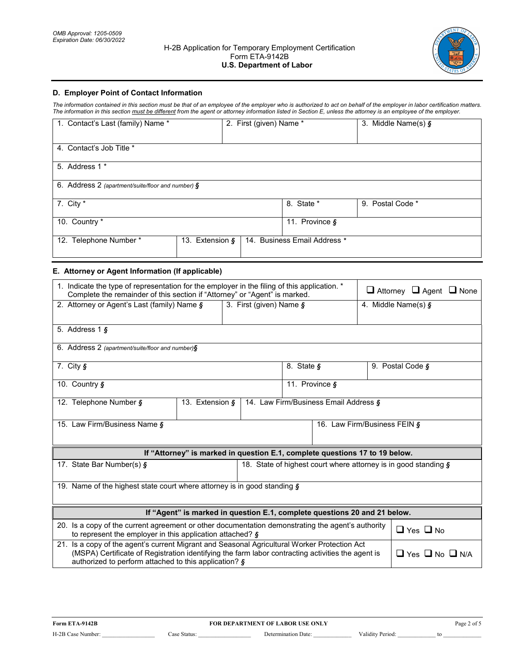

## **D. Employer Point of Contact Information**

 *The information contained in this section must be that of an employee of the employer who is authorized to act on behalf of the employer in labor certification matters. The information in this section must be different from the agent or attorney information listed in Section E, unless the attorney is an employee of the employer.* 

| 1. Contact's Last (family) Name *                    | 2. First (given) Name * |                                | 3. Middle Name(s) $\zeta$ |
|------------------------------------------------------|-------------------------|--------------------------------|---------------------------|
| 4. Contact's Job Title *                             |                         |                                |                           |
| 5. Address 1 *                                       |                         |                                |                           |
| 6. Address 2 (apartment/suite/floor and number) $\S$ |                         |                                |                           |
| 7. City $*$                                          |                         | 8. State *                     | 9. Postal Code *          |
| 10. Country *                                        |                         | 11. Province $\boldsymbol{\S}$ |                           |
| 12. Telephone Number*                                | 13. Extension §         | 14. Business Email Address *   |                           |

### **E. Attorney or Agent Information (If applicable)**

| 1. Indicate the type of representation for the employer in the filing of this application. *<br>Complete the remainder of this section if "Attorney" or "Agent" is marked.                                                                                                                    | $\Box$ Attorney $\Box$ Agent $\Box$ None                        |                                                                             |                                 |  |  |  |  |  |
|-----------------------------------------------------------------------------------------------------------------------------------------------------------------------------------------------------------------------------------------------------------------------------------------------|-----------------------------------------------------------------|-----------------------------------------------------------------------------|---------------------------------|--|--|--|--|--|
| 2. Attorney or Agent's Last (family) Name §                                                                                                                                                                                                                                                   | 3. First (given) Name §                                         |                                                                             | 4. Middle Name(s) $\frac{1}{2}$ |  |  |  |  |  |
| 5. Address $1 \, \text{s}$                                                                                                                                                                                                                                                                    |                                                                 |                                                                             |                                 |  |  |  |  |  |
| 6. Address 2 (apartment/suite/floor and number)§                                                                                                                                                                                                                                              |                                                                 |                                                                             |                                 |  |  |  |  |  |
| 7. City $\mathbf{\hat{S}}$                                                                                                                                                                                                                                                                    |                                                                 | 8. State §                                                                  | 9. Postal Code §                |  |  |  |  |  |
| 10. Country §                                                                                                                                                                                                                                                                                 |                                                                 | 11. Province §                                                              |                                 |  |  |  |  |  |
| 12. Telephone Number §<br>13. Extension §                                                                                                                                                                                                                                                     | 14. Law Firm/Business Email Address §                           |                                                                             |                                 |  |  |  |  |  |
| 15. Law Firm/Business Name §                                                                                                                                                                                                                                                                  |                                                                 |                                                                             | 16. Law Firm/Business FEIN §    |  |  |  |  |  |
|                                                                                                                                                                                                                                                                                               |                                                                 |                                                                             |                                 |  |  |  |  |  |
|                                                                                                                                                                                                                                                                                               |                                                                 | If "Attorney" is marked in question E.1, complete questions 17 to 19 below. |                                 |  |  |  |  |  |
| 17. State Bar Number(s) §                                                                                                                                                                                                                                                                     | 18. State of highest court where attorney is in good standing § |                                                                             |                                 |  |  |  |  |  |
| 19. Name of the highest state court where attorney is in good standing $\delta$                                                                                                                                                                                                               |                                                                 |                                                                             |                                 |  |  |  |  |  |
|                                                                                                                                                                                                                                                                                               |                                                                 |                                                                             |                                 |  |  |  |  |  |
| If "Agent" is marked in question E.1, complete questions 20 and 21 below.                                                                                                                                                                                                                     |                                                                 |                                                                             |                                 |  |  |  |  |  |
| 20. Is a copy of the current agreement or other documentation demonstrating the agent's authority<br>$\Box$ Yes $\Box$ No<br>to represent the employer in this application attached? §                                                                                                        |                                                                 |                                                                             |                                 |  |  |  |  |  |
| 21. Is a copy of the agent's current Migrant and Seasonal Agricultural Worker Protection Act<br>(MSPA) Certificate of Registration identifying the farm labor contracting activities the agent is<br>$\Box$ Yes $\Box$ No $\Box$ N/A<br>authorized to perform attached to this application? § |                                                                 |                                                                             |                                 |  |  |  |  |  |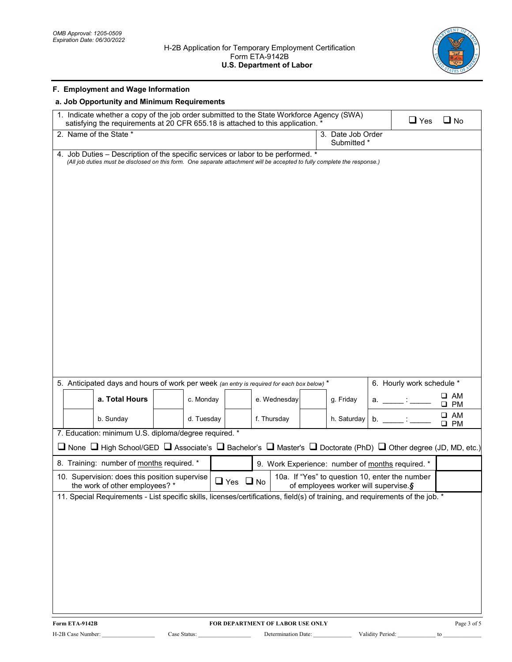

| <b>F. Employment and Wage Information</b>                                                                                                                                                                     |                      |              |                                                                                        |                           |                              |
|---------------------------------------------------------------------------------------------------------------------------------------------------------------------------------------------------------------|----------------------|--------------|----------------------------------------------------------------------------------------|---------------------------|------------------------------|
| a. Job Opportunity and Minimum Requirements                                                                                                                                                                   |                      |              |                                                                                        |                           |                              |
| 1. Indicate whether a copy of the job order submitted to the State Workforce Agency (SWA)<br>satisfying the requirements at 20 CFR 655.18 is attached to this application.                                    |                      |              |                                                                                        | $\Box$ Yes                | $\Box$ No                    |
| 2. Name of the State *                                                                                                                                                                                        |                      |              | 3. Date Job Order<br>Submitted *                                                       |                           |                              |
| 4. Job Duties - Description of the specific services or labor to be performed. *<br>(All job duties must be disclosed on this form. One separate attachment will be accepted to fully complete the response.) |                      |              |                                                                                        |                           |                              |
|                                                                                                                                                                                                               |                      |              |                                                                                        |                           |                              |
|                                                                                                                                                                                                               |                      |              |                                                                                        |                           |                              |
|                                                                                                                                                                                                               |                      |              |                                                                                        |                           |                              |
|                                                                                                                                                                                                               |                      |              |                                                                                        |                           |                              |
|                                                                                                                                                                                                               |                      |              |                                                                                        |                           |                              |
|                                                                                                                                                                                                               |                      |              |                                                                                        |                           |                              |
|                                                                                                                                                                                                               |                      |              |                                                                                        |                           |                              |
|                                                                                                                                                                                                               |                      |              |                                                                                        |                           |                              |
|                                                                                                                                                                                                               |                      |              |                                                                                        |                           |                              |
|                                                                                                                                                                                                               |                      |              |                                                                                        |                           |                              |
|                                                                                                                                                                                                               |                      |              |                                                                                        |                           |                              |
|                                                                                                                                                                                                               |                      |              |                                                                                        |                           |                              |
|                                                                                                                                                                                                               |                      |              |                                                                                        |                           |                              |
|                                                                                                                                                                                                               |                      |              |                                                                                        |                           |                              |
| 5. Anticipated days and hours of work per week (an entry is required for each box below) *                                                                                                                    |                      |              |                                                                                        | 6. Hourly work schedule * |                              |
| a. Total Hours<br>c. Monday                                                                                                                                                                                   |                      | e. Wednesday | g. Friday<br>а.                                                                        |                           | ⊔ АМ<br>$\square$ PM         |
| d. Tuesday<br>b. Sunday                                                                                                                                                                                       |                      | f. Thursday  | h. Saturday<br>b.                                                                      |                           | $\square$ AM<br>$\square$ PM |
| 7. Education: minimum U.S. diploma/degree required. *                                                                                                                                                         |                      |              |                                                                                        |                           |                              |
| <b>□</b> None □ High School/GED □ Associate's □ Bachelor's □ Master's □ Doctorate (PhD) □ Other degree (JD, MD, etc.)                                                                                         |                      |              |                                                                                        |                           |                              |
| 8. Training: number of months required. *                                                                                                                                                                     |                      |              | 9. Work Experience: number of months required.                                         |                           |                              |
| 10. Supervision: does this position supervise<br>the work of other employees? *                                                                                                                               | $\Box$ Yes $\Box$ No |              | 10a. If "Yes" to question 10, enter the number<br>of employees worker will supervise.§ |                           |                              |
| 11. Special Requirements - List specific skills, licenses/certifications, field(s) of training, and requirements of the job. *                                                                                |                      |              |                                                                                        |                           |                              |
|                                                                                                                                                                                                               |                      |              |                                                                                        |                           |                              |
|                                                                                                                                                                                                               |                      |              |                                                                                        |                           |                              |
|                                                                                                                                                                                                               |                      |              |                                                                                        |                           |                              |
|                                                                                                                                                                                                               |                      |              |                                                                                        |                           |                              |
|                                                                                                                                                                                                               |                      |              |                                                                                        |                           |                              |
|                                                                                                                                                                                                               |                      |              |                                                                                        |                           |                              |
|                                                                                                                                                                                                               |                      |              |                                                                                        |                           |                              |
|                                                                                                                                                                                                               |                      |              |                                                                                        |                           |                              |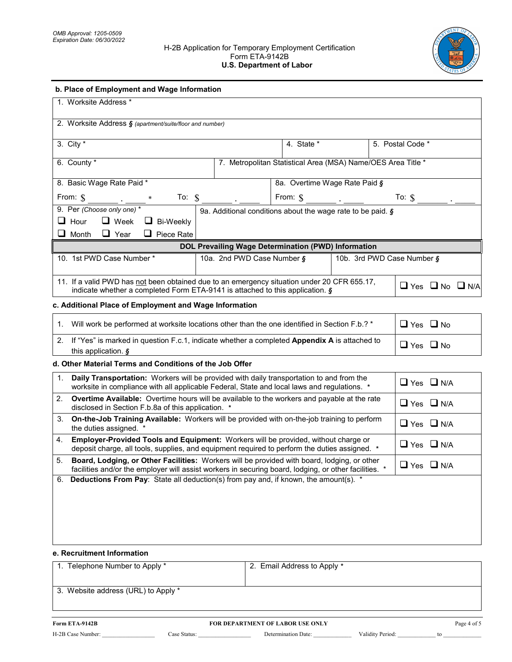#### H-2B Application for Temporary Employment Certification Form ETA-9142B **U.S. Department of Labor**



| b. Place of Employment and Wage Information                                                                                                                                                                                         |                                                                                                                                                                                                                  |                                                              |  |  |                                 |  |  |
|-------------------------------------------------------------------------------------------------------------------------------------------------------------------------------------------------------------------------------------|------------------------------------------------------------------------------------------------------------------------------------------------------------------------------------------------------------------|--------------------------------------------------------------|--|--|---------------------------------|--|--|
| 1. Worksite Address *                                                                                                                                                                                                               |                                                                                                                                                                                                                  |                                                              |  |  |                                 |  |  |
| 2. Worksite Address § (apartment/suite/floor and number)                                                                                                                                                                            |                                                                                                                                                                                                                  |                                                              |  |  |                                 |  |  |
| 3. City $*$                                                                                                                                                                                                                         |                                                                                                                                                                                                                  | 4. State *                                                   |  |  | 5. Postal Code *                |  |  |
| 6. County *                                                                                                                                                                                                                         |                                                                                                                                                                                                                  | 7. Metropolitan Statistical Area (MSA) Name/OES Area Title * |  |  |                                 |  |  |
| 8. Basic Wage Rate Paid *                                                                                                                                                                                                           |                                                                                                                                                                                                                  | 8a. Overtime Wage Rate Paid §                                |  |  |                                 |  |  |
| From: $\hat{\mathbf{S}}$                                                                                                                                                                                                            |                                                                                                                                                                                                                  |                                                              |  |  | To: $\int$                      |  |  |
| 9. Per (Choose only one) *<br>$\Box$ Hour<br>$\Box$ Week $\Box$ Bi-Weekly                                                                                                                                                           | 9a. Additional conditions about the wage rate to be paid. §                                                                                                                                                      |                                                              |  |  |                                 |  |  |
| $\Box$ Month $\Box$ Year $\Box$ Piece Rate                                                                                                                                                                                          | DOL Prevailing Wage Determination (PWD) Information                                                                                                                                                              |                                                              |  |  |                                 |  |  |
| 10. 1st PWD Case Number *                                                                                                                                                                                                           | 10a. 2nd PWD Case Number §                                                                                                                                                                                       |                                                              |  |  | 10b. 3rd PWD Case Number §      |  |  |
| 11. If a valid PWD has not been obtained due to an emergency situation under 20 CFR 655.17,<br>indicate whether a completed Form ETA-9141 is attached to this application. §                                                        |                                                                                                                                                                                                                  |                                                              |  |  | $\Box$ Yes $\Box$ No $\Box$ N/A |  |  |
| c. Additional Place of Employment and Wage Information                                                                                                                                                                              |                                                                                                                                                                                                                  |                                                              |  |  |                                 |  |  |
| 1.<br>Will work be performed at worksite locations other than the one identified in Section F.b.? *                                                                                                                                 |                                                                                                                                                                                                                  |                                                              |  |  | $\Box$ Yes $\Box$ No            |  |  |
| If "Yes" is marked in question F.c.1, indicate whether a completed Appendix A is attached to<br>2.<br>this application. $\boldsymbol{\S}$                                                                                           |                                                                                                                                                                                                                  |                                                              |  |  | $\Box$ Yes $\Box$ No            |  |  |
| d. Other Material Terms and Conditions of the Job Offer                                                                                                                                                                             |                                                                                                                                                                                                                  |                                                              |  |  |                                 |  |  |
| 1.                                                                                                                                                                                                                                  | Daily Transportation: Workers will be provided with daily transportation to and from the<br>$\Box$ Yes $\Box$ N/A<br>worksite in compliance with all applicable Federal, State and local laws and regulations. * |                                                              |  |  |                                 |  |  |
| 2.                                                                                                                                                                                                                                  | Overtime Available: Overtime hours will be available to the workers and payable at the rate<br>$\Box$ Yes $\Box$ N/A<br>disclosed in Section F.b.8a of this application. *                                       |                                                              |  |  |                                 |  |  |
| On-the-Job Training Available: Workers will be provided with on-the-job training to perform<br>3.<br>the duties assigned. *                                                                                                         |                                                                                                                                                                                                                  |                                                              |  |  | $\Box$ Yes $\Box$ N/A           |  |  |
| Employer-Provided Tools and Equipment: Workers will be provided, without charge or<br>4.<br>deposit charge, all tools, supplies, and equipment required to perform the duties assigned. *                                           |                                                                                                                                                                                                                  |                                                              |  |  | $\Box$ Yes $\Box$ N/A           |  |  |
| Board, Lodging, or Other Facilities: Workers will be provided with board, lodging, or other<br>5.<br>$\Box$ Yes $\Box$ N/A<br>facilities and/or the employer will assist workers in securing board, lodging, or other facilities. * |                                                                                                                                                                                                                  |                                                              |  |  |                                 |  |  |
| Deductions From Pay: State all deduction(s) from pay and, if known, the amount(s). *<br>6.                                                                                                                                          |                                                                                                                                                                                                                  |                                                              |  |  |                                 |  |  |
| e. Recruitment Information                                                                                                                                                                                                          |                                                                                                                                                                                                                  |                                                              |  |  |                                 |  |  |
| 1. Telephone Number to Apply *                                                                                                                                                                                                      |                                                                                                                                                                                                                  | 2. Email Address to Apply *                                  |  |  |                                 |  |  |

3. Website address (URL) to Apply \*

H-2B Case Number: \_\_\_\_\_\_\_\_\_\_\_\_\_\_\_\_\_\_ Case Status: \_\_\_\_\_\_\_\_\_\_\_\_\_\_\_\_\_\_ Determination Date: \_\_\_\_\_\_\_\_\_\_\_\_\_ Validity Period: \_\_\_\_\_\_\_\_\_\_\_\_\_ to \_\_\_\_\_\_\_\_\_\_\_\_\_